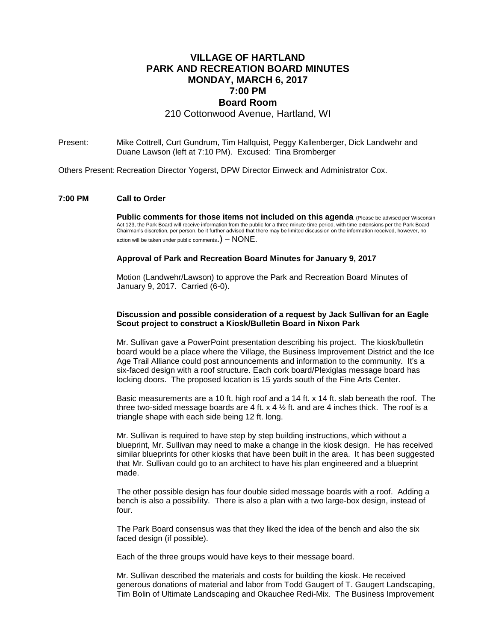# **VILLAGE OF HARTLAND PARK AND RECREATION BOARD MINUTES MONDAY, MARCH 6, 2017 7:00 PM Board Room**

210 Cottonwood Avenue, Hartland, WI

Present: Mike Cottrell, Curt Gundrum, Tim Hallquist, Peggy Kallenberger, Dick Landwehr and Duane Lawson (left at 7:10 PM). Excused: Tina Bromberger

Others Present: Recreation Director Yogerst, DPW Director Einweck and Administrator Cox.

## **7:00 PM Call to Order**

**Public comments for those items not included on this agenda** (Please be advised per Wisconsin Act 123, the Park Board will receive information from the public for a three minute time period, with time extensions per the Park Board Chairman's discretion, per person, be it further advised that there may be limited discussion on the information received, however, no action will be taken under public comments.)  $-$  NONE.

#### **Approval of Park and Recreation Board Minutes for January 9, 2017**

Motion (Landwehr/Lawson) to approve the Park and Recreation Board Minutes of January 9, 2017. Carried (6-0).

### **Discussion and possible consideration of a request by Jack Sullivan for an Eagle Scout project to construct a Kiosk/Bulletin Board in Nixon Park**

Mr. Sullivan gave a PowerPoint presentation describing his project. The kiosk/bulletin board would be a place where the Village, the Business Improvement District and the Ice Age Trail Alliance could post announcements and information to the community. It's a six-faced design with a roof structure. Each cork board/Plexiglas message board has locking doors. The proposed location is 15 yards south of the Fine Arts Center.

Basic measurements are a 10 ft. high roof and a 14 ft. x 14 ft. slab beneath the roof. The three two-sided message boards are 4 ft.  $x$  4  $\frac{1}{2}$  ft. and are 4 inches thick. The roof is a triangle shape with each side being 12 ft. long.

Mr. Sullivan is required to have step by step building instructions, which without a blueprint, Mr. Sullivan may need to make a change in the kiosk design. He has received similar blueprints for other kiosks that have been built in the area. It has been suggested that Mr. Sullivan could go to an architect to have his plan engineered and a blueprint made.

The other possible design has four double sided message boards with a roof. Adding a bench is also a possibility. There is also a plan with a two large-box design, instead of four.

The Park Board consensus was that they liked the idea of the bench and also the six faced design (if possible).

Each of the three groups would have keys to their message board.

Mr. Sullivan described the materials and costs for building the kiosk. He received generous donations of material and labor from Todd Gaugert of T. Gaugert Landscaping, Tim Bolin of Ultimate Landscaping and Okauchee Redi-Mix. The Business Improvement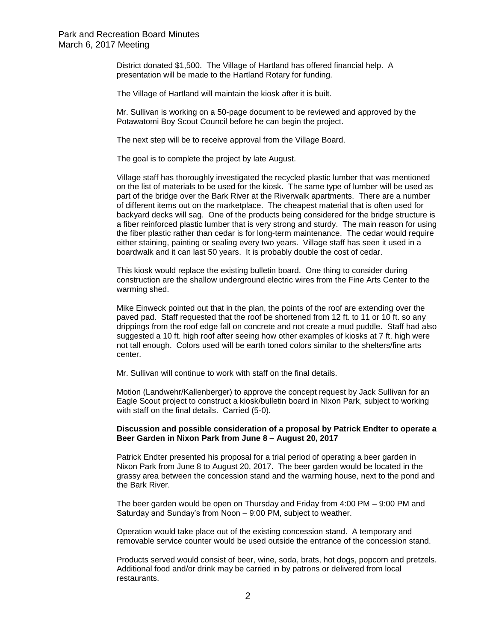District donated \$1,500. The Village of Hartland has offered financial help. A presentation will be made to the Hartland Rotary for funding.

The Village of Hartland will maintain the kiosk after it is built.

Mr. Sullivan is working on a 50-page document to be reviewed and approved by the Potawatomi Boy Scout Council before he can begin the project.

The next step will be to receive approval from the Village Board.

The goal is to complete the project by late August.

Village staff has thoroughly investigated the recycled plastic lumber that was mentioned on the list of materials to be used for the kiosk. The same type of lumber will be used as part of the bridge over the Bark River at the Riverwalk apartments. There are a number of different items out on the marketplace. The cheapest material that is often used for backyard decks will sag. One of the products being considered for the bridge structure is a fiber reinforced plastic lumber that is very strong and sturdy. The main reason for using the fiber plastic rather than cedar is for long-term maintenance. The cedar would require either staining, painting or sealing every two years. Village staff has seen it used in a boardwalk and it can last 50 years. It is probably double the cost of cedar.

This kiosk would replace the existing bulletin board. One thing to consider during construction are the shallow underground electric wires from the Fine Arts Center to the warming shed.

Mike Einweck pointed out that in the plan, the points of the roof are extending over the paved pad. Staff requested that the roof be shortened from 12 ft. to 11 or 10 ft. so any drippings from the roof edge fall on concrete and not create a mud puddle. Staff had also suggested a 10 ft. high roof after seeing how other examples of kiosks at 7 ft. high were not tall enough. Colors used will be earth toned colors similar to the shelters/fine arts center.

Mr. Sullivan will continue to work with staff on the final details.

Motion (Landwehr/Kallenberger) to approve the concept request by Jack Sullivan for an Eagle Scout project to construct a kiosk/bulletin board in Nixon Park, subject to working with staff on the final details. Carried (5-0).

## **Discussion and possible consideration of a proposal by Patrick Endter to operate a Beer Garden in Nixon Park from June 8 – August 20, 2017**

Patrick Endter presented his proposal for a trial period of operating a beer garden in Nixon Park from June 8 to August 20, 2017. The beer garden would be located in the grassy area between the concession stand and the warming house, next to the pond and the Bark River.

The beer garden would be open on Thursday and Friday from 4:00 PM – 9:00 PM and Saturday and Sunday's from Noon – 9:00 PM, subject to weather.

Operation would take place out of the existing concession stand. A temporary and removable service counter would be used outside the entrance of the concession stand.

Products served would consist of beer, wine, soda, brats, hot dogs, popcorn and pretzels. Additional food and/or drink may be carried in by patrons or delivered from local restaurants.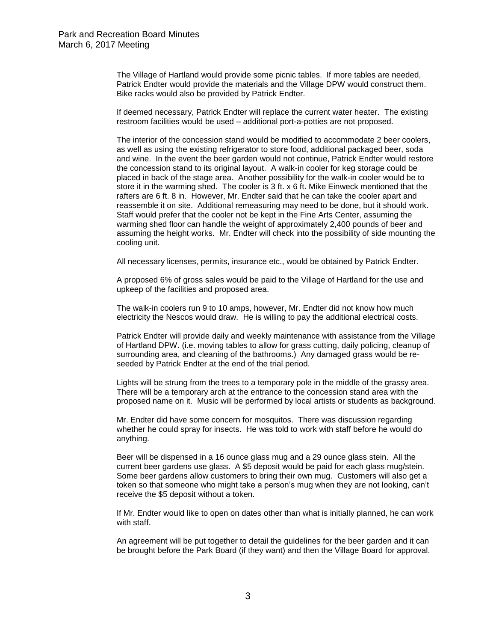The Village of Hartland would provide some picnic tables. If more tables are needed, Patrick Endter would provide the materials and the Village DPW would construct them. Bike racks would also be provided by Patrick Endter.

If deemed necessary, Patrick Endter will replace the current water heater. The existing restroom facilities would be used – additional port-a-potties are not proposed.

The interior of the concession stand would be modified to accommodate 2 beer coolers, as well as using the existing refrigerator to store food, additional packaged beer, soda and wine. In the event the beer garden would not continue, Patrick Endter would restore the concession stand to its original layout. A walk-in cooler for keg storage could be placed in back of the stage area. Another possibility for the walk-in cooler would be to store it in the warming shed. The cooler is 3 ft. x 6 ft. Mike Einweck mentioned that the rafters are 6 ft. 8 in. However, Mr. Endter said that he can take the cooler apart and reassemble it on site. Additional remeasuring may need to be done, but it should work. Staff would prefer that the cooler not be kept in the Fine Arts Center, assuming the warming shed floor can handle the weight of approximately 2,400 pounds of beer and assuming the height works. Mr. Endter will check into the possibility of side mounting the cooling unit.

All necessary licenses, permits, insurance etc., would be obtained by Patrick Endter.

A proposed 6% of gross sales would be paid to the Village of Hartland for the use and upkeep of the facilities and proposed area.

The walk-in coolers run 9 to 10 amps, however, Mr. Endter did not know how much electricity the Nescos would draw. He is willing to pay the additional electrical costs.

Patrick Endter will provide daily and weekly maintenance with assistance from the Village of Hartland DPW. (i.e. moving tables to allow for grass cutting, daily policing, cleanup of surrounding area, and cleaning of the bathrooms.) Any damaged grass would be reseeded by Patrick Endter at the end of the trial period.

Lights will be strung from the trees to a temporary pole in the middle of the grassy area. There will be a temporary arch at the entrance to the concession stand area with the proposed name on it. Music will be performed by local artists or students as background.

Mr. Endter did have some concern for mosquitos. There was discussion regarding whether he could spray for insects. He was told to work with staff before he would do anything.

Beer will be dispensed in a 16 ounce glass mug and a 29 ounce glass stein. All the current beer gardens use glass. A \$5 deposit would be paid for each glass mug/stein. Some beer gardens allow customers to bring their own mug. Customers will also get a token so that someone who might take a person's mug when they are not looking, can't receive the \$5 deposit without a token.

If Mr. Endter would like to open on dates other than what is initially planned, he can work with staff.

An agreement will be put together to detail the guidelines for the beer garden and it can be brought before the Park Board (if they want) and then the Village Board for approval.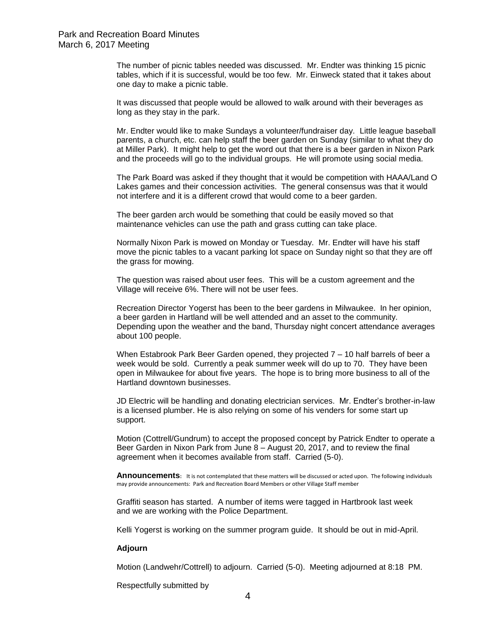The number of picnic tables needed was discussed. Mr. Endter was thinking 15 picnic tables, which if it is successful, would be too few. Mr. Einweck stated that it takes about one day to make a picnic table.

It was discussed that people would be allowed to walk around with their beverages as long as they stay in the park.

Mr. Endter would like to make Sundays a volunteer/fundraiser day. Little league baseball parents, a church, etc. can help staff the beer garden on Sunday (similar to what they do at Miller Park). It might help to get the word out that there is a beer garden in Nixon Park and the proceeds will go to the individual groups. He will promote using social media.

The Park Board was asked if they thought that it would be competition with HAAA/Land O Lakes games and their concession activities. The general consensus was that it would not interfere and it is a different crowd that would come to a beer garden.

The beer garden arch would be something that could be easily moved so that maintenance vehicles can use the path and grass cutting can take place.

Normally Nixon Park is mowed on Monday or Tuesday. Mr. Endter will have his staff move the picnic tables to a vacant parking lot space on Sunday night so that they are off the grass for mowing.

The question was raised about user fees. This will be a custom agreement and the Village will receive 6%. There will not be user fees.

Recreation Director Yogerst has been to the beer gardens in Milwaukee. In her opinion, a beer garden in Hartland will be well attended and an asset to the community. Depending upon the weather and the band, Thursday night concert attendance averages about 100 people.

When Estabrook Park Beer Garden opened, they projected 7 – 10 half barrels of beer a week would be sold. Currently a peak summer week will do up to 70. They have been open in Milwaukee for about five years. The hope is to bring more business to all of the Hartland downtown businesses.

JD Electric will be handling and donating electrician services. Mr. Endter's brother-in-law is a licensed plumber. He is also relying on some of his venders for some start up support.

Motion (Cottrell/Gundrum) to accept the proposed concept by Patrick Endter to operate a Beer Garden in Nixon Park from June 8 – August 20, 2017, and to review the final agreement when it becomes available from staff. Carried (5-0).

**Announcements:** It is not contemplated that these matters will be discussed or acted upon. The following individuals may provide announcements: Park and Recreation Board Members or other Village Staff member

Graffiti season has started. A number of items were tagged in Hartbrook last week and we are working with the Police Department.

Kelli Yogerst is working on the summer program guide. It should be out in mid-April.

### **Adjourn**

Motion (Landwehr/Cottrell) to adjourn. Carried (5-0). Meeting adjourned at 8:18 PM.

Respectfully submitted by